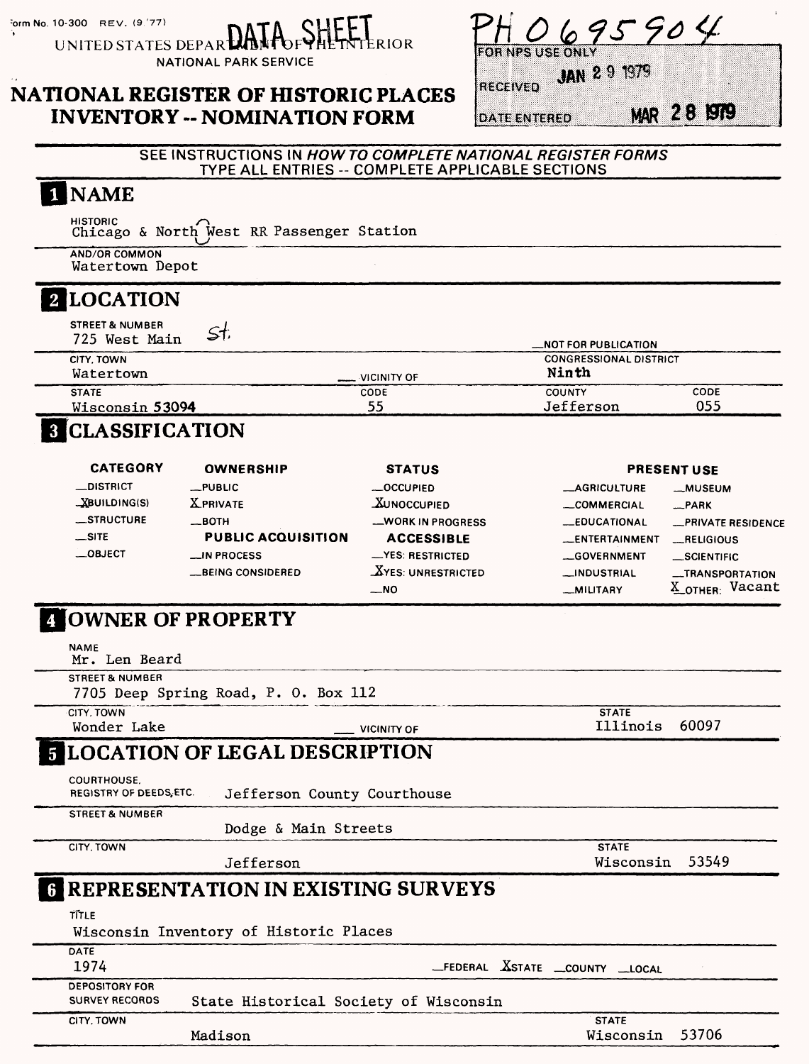form No. 10-300 REV. (9.77)

CHFET UNITED STATES DEPART

**NATIONAL PARK SERVICE** 

### **NATIONAL REGISTER OF HISTORIC PLACES INVENTORY -- NOMINATION FORM**

| . | .<br>----- | <br>. | ----- |  |  |  |
|---|------------|-------|-------|--|--|--|

**JAN 2 9 1979 RECEIVED** 

**DATE ENTERED** 

**MAR 28 1979** 

#### SEE INSTRUCTIONS IN HOW TO COMPLETE NATIONAL REGISTER FORMS TYPE ALL ENTRIES -- COMPLETE APPLICABLE SECTIONS

**RIOR** 

## 1 NAME

HISTORIC<br>Chicago & North West RR Passenger Station

AND/OR COMMON Watertown Depot

# 2 LOCATION

| <b>STREET &amp; NUMBER</b><br>725 West Main<br>، د چ |                      | _NOT FOR PUBLICATION                   |      |
|------------------------------------------------------|----------------------|----------------------------------------|------|
| CITY. TOWN<br>Watertown                              | $\equiv$ VICINITY OF | <b>CONGRESSIONAL DISTRICT</b><br>Ninth |      |
| <b>STATE</b>                                         | CODE                 | <b>COUNTY</b>                          | CODE |
| Wisconsin 53094                                      | 55                   | Jefferson                              | 055  |

# **8 CLASSIFICATION**

| <b>CATEGORY</b><br><b>OWNERSHIP</b> |                           | <b>STATUS</b>         | <b>PRESENT USE</b>    |                           |  |
|-------------------------------------|---------------------------|-----------------------|-----------------------|---------------------------|--|
| <b>__DISTRICT</b>                   | $_{-}$ PUBLIC             | $-$ OCCUPIED          | <b>__AGRICULTURE</b>  | -MUSEUM                   |  |
| $X$ BUILDING(S)                     | <b>X PRIVATE</b>          | <b>XUNOCCUPIED</b>    | _COMMERCIAL           | _PARK                     |  |
| <b>STRUCTURE</b>                    | $\equiv$ BOTH             | -WORK IN PROGRESS     | <b>__EDUCATIONAL</b>  | <b>_PRIVATE RESIDENCE</b> |  |
| $\equiv$ SITE                       | <b>PUBLIC ACQUISITION</b> | <b>ACCESSIBLE</b>     | <b>LENTERTAINMENT</b> | <b>_RELIGIOUS</b>         |  |
| $\equiv$ OBJECT                     | $\equiv$ IN PROCESS       | -YES: RESTRICTED      | <b>GOVERNMENT</b>     | <b>SCIENTIFIC</b>         |  |
|                                     | BEING CONSIDERED          | $X$ YES: UNRESTRICTED | <b>__INDUSTRIAL</b>   | -TRANSPORTATION           |  |
|                                     |                           | $-$ NO                | _MILITARY             | Vacant<br>$X$ OTHER:      |  |

# **ZOWNER OF PROPERTY**

| <b>NAME</b><br>Mr. Len Beard                   |                                             |                                        |       |
|------------------------------------------------|---------------------------------------------|----------------------------------------|-------|
| <b>STREET &amp; NUMBER</b>                     | 7705 Deep Spring Road, P. O. Box 112        |                                        |       |
| CITY, TOWN<br>Wonder Lake                      | <b>VICINITY OF</b>                          | <b>STATE</b><br>Illinois               | 60097 |
|                                                | <b>5 LOCATION OF LEGAL DESCRIPTION</b>      |                                        |       |
| <b>COURTHOUSE.</b><br>REGISTRY OF DEEDS, ETC.  | Jefferson County Courthouse                 |                                        |       |
| <b>STREET &amp; NUMBER</b>                     | Dodge & Main Streets                        |                                        |       |
| CITY, TOWN                                     | Jefferson                                   | <b>STATE</b><br>Wisconsin              | 53549 |
|                                                | <b>6 REPRESENTATION IN EXISTING SURVEYS</b> |                                        |       |
| TĨTLE                                          | Wisconsin Inventory of Historic Places      |                                        |       |
| DATE<br>1974                                   |                                             | _FEDERAL <b>X</b> STATE _COUNTY _LOCAL |       |
| <b>DEPOSITORY FOR</b><br><b>SURVEY RECORDS</b> | State Historical Society of Wisconsin       |                                        |       |
| CITY. TOWN                                     | Madison                                     | <b>STATE</b><br>Wisconsin              | 53706 |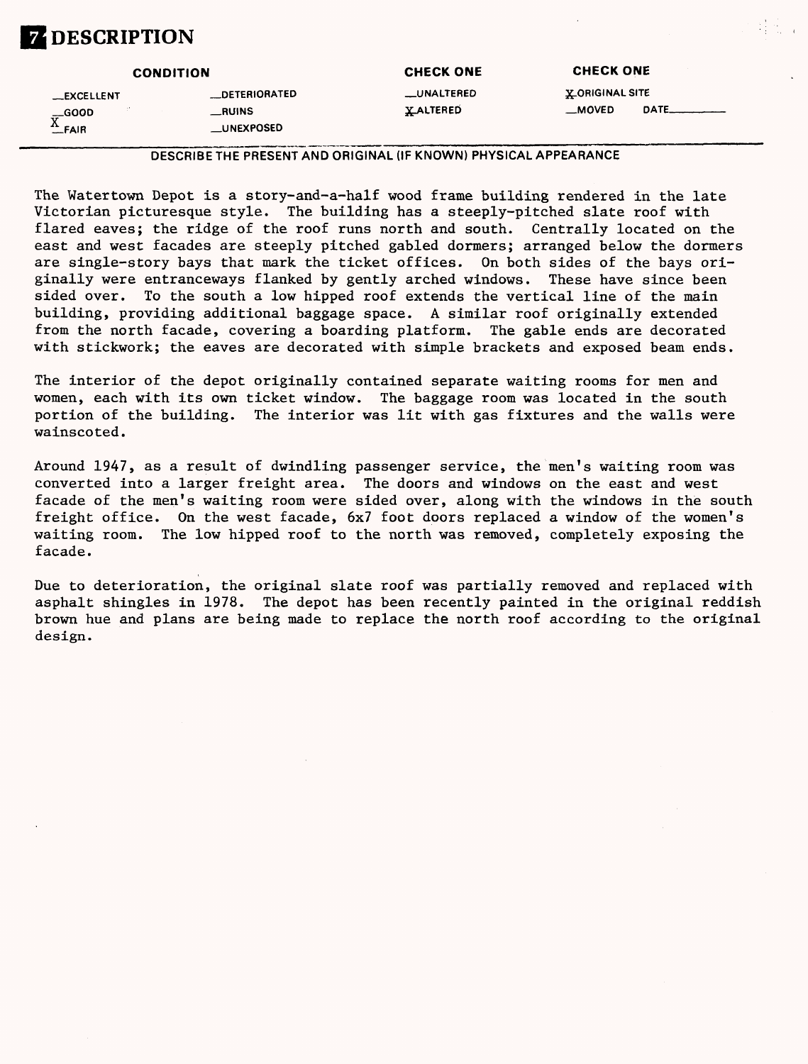# **Z** DESCRIPTION

|                                                        | <b>CONDITION</b>      | <b>CHECK ONE</b>  | <b>CHECK ONE</b>       |
|--------------------------------------------------------|-----------------------|-------------------|------------------------|
| __EXCELLENT                                            | <b>__DETERIORATED</b> | <b>LUNALTERED</b> | <b>X_ORIGINAL SITE</b> |
|                                                        | $_{\rm -RUINS}$       | <b>YALTERED</b>   | DATE<br>$-MOVED$       |
| $\underline{\overline{X}}_{\text{FAIR}}^{\text{GOOD}}$ | __UNEXPOSED           |                   |                        |

#### DESCRIBE THE PRESENT AND ORIGINAL (IF KNOWN) PHYSICAL APPEARANCE

The Watertown Depot is a story-and-a-half wood frame building rendered in the late Victorian picturesque style. The building has a steeply-pitched slate roof with flared eaves; the ridge of the roof runs north and south. Centrally located on the east and west facades are steeply pitched gabled dormers; arranged below the dormers are single-story bays that mark the ticket offices. On both sides of the bays originally were entranceways flanked by gently arched windows. These have since been sided over. To the south a low hipped roof extends the vertical line of the main building, providing additional baggage space. A similar roof originally extended from the north facade, covering a boarding platform. The gable ends are decorated with stickwork; the eaves are decorated with simple brackets and exposed beam ends.

The interior of the depot originally contained separate waiting rooms for men and women, each with its own ticket window. The baggage room was located in the south portion of the building. The interior was lit with gas fixtures and the walls were wainscoted.

Around 1947, as a result of dwindling passenger service, the men's waiting room was converted into a larger freight area. The doors and windows on the east and west facade of the men's waiting room were sided over, along with the windows in the south freight office. On the west facade, 6x7 foot doors replaced a window of the women's waiting room. The low hipped roof to the north was removed, completely exposing the facade.

Due to deterioration, the original slate roof was partially removed and replaced with asphalt shingles in 1978. The depot has been recently painted in the original reddish brown hue and plans are being made to replace the north roof according to the original design.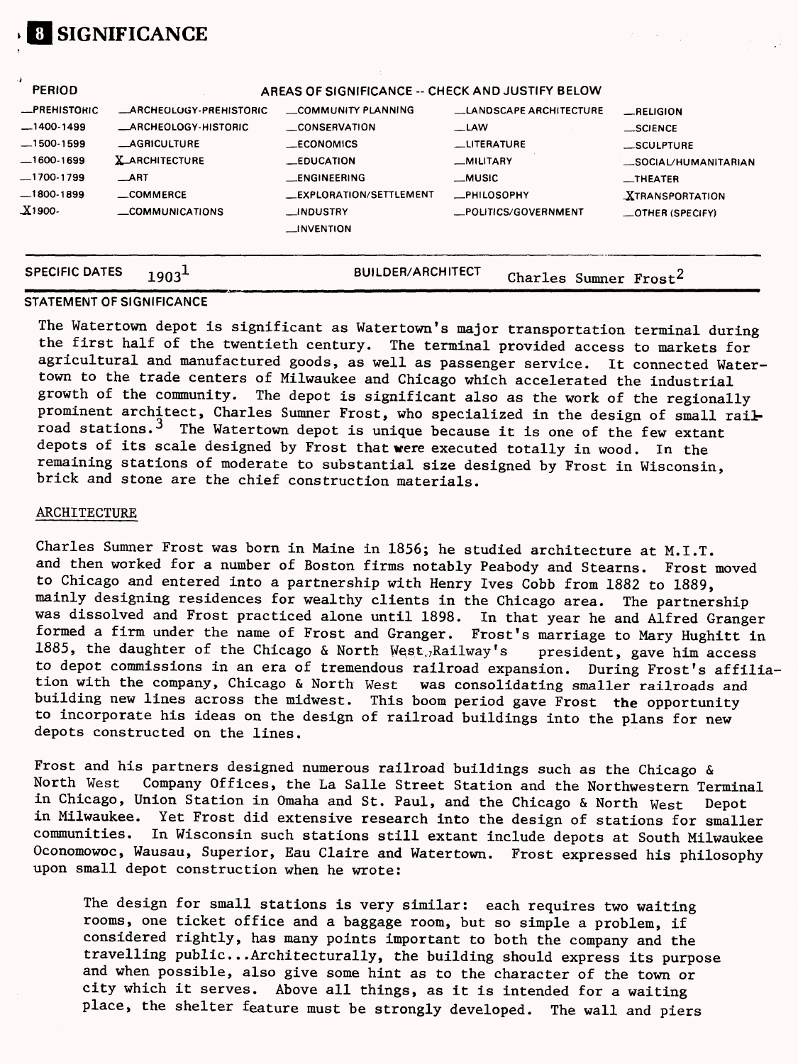| <b>SPECIFIC DATES</b> |                               | <b>BUILDER/ARCHITECT</b>                         | Charles Sumner Frost <sup>2</sup> |                        |
|-----------------------|-------------------------------|--------------------------------------------------|-----------------------------------|------------------------|
| X1900                 | <b>_COMMUNICATIONS</b>        | __INDUSTRY<br>$\sqcup$ NVENTION                  | _POLITICS/GOVERNMENT              | -OTHER (SPECIFY)       |
| $-1800-1899$          | $\equiv$ COMMERCE             | __EXPLORATION/SETTLEMENT                         | <b>__PHILOSOPHY</b>               | <b>XTRANSPORTATION</b> |
| $-1700-1799$          | $\_ART$                       | __ENGINEERING                                    | <b>MUSIC</b>                      | _THEATER               |
| $-1600-1699$          | <b>X_ARCHITECTURE</b>         | <b>EDUCATION</b>                                 | MILITARY                          | SOCIAL/HUMANITARIAN    |
| $-1500-1599$          | <b>_AGRICULTURE</b>           | <b>ECONOMICS</b>                                 | <b>LITERATURE</b>                 | _SCULPTURE             |
| $-1400-1499$          | <b>_ARCHEOLOGY-HISTORIC</b>   | __CONSERVATION                                   | _LAW                              | __SCIENCE              |
| <b>_PREHISTORIC</b>   | <b>ARCHEOLOGY-PREHISTORIC</b> | COMMUNITY PLANNING                               | <b>LANDSCAPE ARCHITECTURE</b>     | RELIGION               |
| <b>PERIOD</b>         |                               | AREAS OF SIGNIFICANCE -- CHECK AND JUSTIFY BELOW |                                   |                        |

#### **STATEMENT OF SIGNIFICANCE**

**SIGNIFICANCE**

The Watertown depot is significant as Watertown's major transportation terminal during the first half of the twentieth century. The terminal provided access to markets for agricultural and manufactured goods, as well as passenger service. It connected Watertown to the trade centers of Milwaukee and Chicago which accelerated the industrial growth of the community. The depot is significant also as the work of the regionally prominent architect, Charles Sumner Frost, who specialized in the design of small railroad stations.<sup>3</sup> The Watertown depot is unique because it is one of the few extant depots of its scale designed by Frost that were executed totally in wood. In the remaining stations of moderate to substantial size designed by Frost in Wisconsin, brick and stone are the chief construction materials.

#### ARCHITECTURE

Charles Sumner Frost was born in Maine in 1856; he studied architecture at M.I.T. and then worked for a number of Boston firms notably Peabody and Stearns. Frost moved to Chicago and entered into a partnership with Henry Ives Cobb from 1882 to 1889, mainly designing residences for wealthy clients in the Chicago area. The partnership was dissolved and Frost practiced alone until 1898. In that year he and Alfred Granger formed a firm under the name of Frost and Granger. Frost's marriage to Mary Hughitt in 1885, the daughter of the Chicago & North West,/Railway's president, gave him access to depot commissions in an era of tremendous railroad expansion. During Frost's affiliation with the company, Chicago & North West was consolidating smaller railroads and building new lines across the midwest. This boom period gave Frost **the** opportunity to incorporate his ideas on the design of railroad buildings into the plans for new depots constructed on the lines.

Frost and his partners designed numerous railroad buildings such as the Chicago &<br>North West Company Offices, the La Salle Street Station and the Northwestern Tom Company Offices, the La Salle Street Station and the Northwestern Terminal in Chicago, Union Station in Omaha and St. Paul, and the Chicago & North West Depot in Milwaukee. Yet Frost did extensive research into the design of stations for smaller communities. In Wisconsin such stations still extant include depots at South Milwaukee Oconomowoc, Wausau, Superior, Eau Claire and Watertown. Frost expressed his philosophy upon small depot construction when he wrote:

The design for small stations is very similar: each requires two waiting rooms, one ticket office and a baggage room, but so simple a problem, if considered rightly, has many points important to both the company and the travelling public...Architecturally, the building should express its purpose and when possible, also give some hint as to the character of the town or city which it serves. Above all things, as it is intended for a waiting place, the shelter feature must be strongly developed. The wall and piers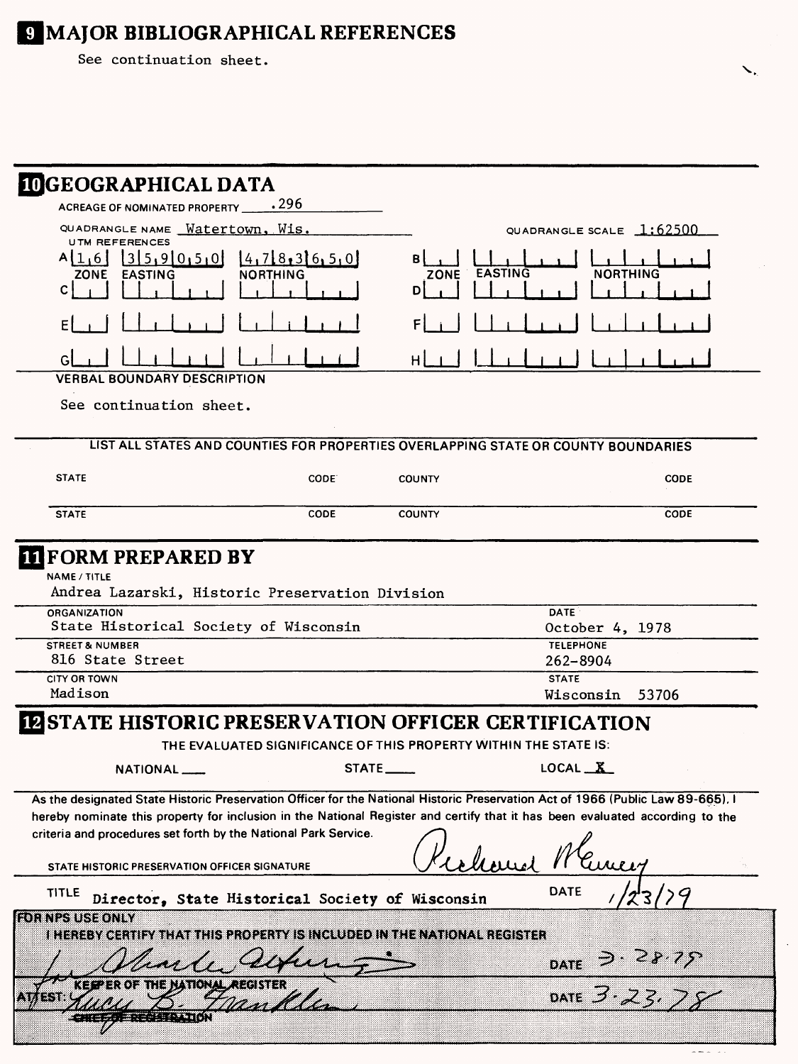# **E MAJOR BIBLIOGRAPHICAL REFERENCES**

See continuation sheet.

| <b>IDGEOGRAPHICAL DATA</b>                                                                                                                                                                                                                                                                                                         |                                                                  |                                     |                                                        |             |
|------------------------------------------------------------------------------------------------------------------------------------------------------------------------------------------------------------------------------------------------------------------------------------------------------------------------------------|------------------------------------------------------------------|-------------------------------------|--------------------------------------------------------|-------------|
| ACREAGE OF NOMINATED PROPERTY 1296                                                                                                                                                                                                                                                                                                 |                                                                  |                                     |                                                        |             |
| QUADRANGLE NAME <b>Watertown</b> , Wis.<br><b>UTM REFERENCES</b>                                                                                                                                                                                                                                                                   |                                                                  |                                     | QUADRANGLE SCALE $1:62500$                             |             |
| 1315,910,5,01<br>A[1,6]<br><b>ZONE</b><br><b>EASTING</b><br>C                                                                                                                                                                                                                                                                      | [4,7[8,3]6,5,0]<br>NORTHING                                      | <b>EASTING</b><br><b>ZONE</b><br>DI | <b>NORTHING</b>                                        |             |
|                                                                                                                                                                                                                                                                                                                                    |                                                                  |                                     |                                                        |             |
|                                                                                                                                                                                                                                                                                                                                    |                                                                  |                                     |                                                        |             |
|                                                                                                                                                                                                                                                                                                                                    |                                                                  | H                                   |                                                        |             |
| <b>VERBAL BOUNDARY DESCRIPTION</b>                                                                                                                                                                                                                                                                                                 |                                                                  |                                     |                                                        |             |
| See continuation sheet.                                                                                                                                                                                                                                                                                                            |                                                                  |                                     |                                                        |             |
| LIST ALL STATES AND COUNTIES FOR PROPERTIES OVERLAPPING STATE OR COUNTY BOUNDARIES                                                                                                                                                                                                                                                 |                                                                  |                                     |                                                        |             |
| <b>STATE</b>                                                                                                                                                                                                                                                                                                                       | CODE:                                                            | <b>COUNTY</b>                       |                                                        | <b>CODE</b> |
| <b>STATE</b>                                                                                                                                                                                                                                                                                                                       | CODE                                                             | <b>COUNTY</b>                       |                                                        | CODE        |
| ORGANIZATION<br>State Historical Society of Wisconsin<br><b>STREET &amp; NUMBER</b>                                                                                                                                                                                                                                                |                                                                  |                                     | <b>DATE</b><br>October 4, 1978<br><b>TELEPHONE</b>     |             |
|                                                                                                                                                                                                                                                                                                                                    |                                                                  |                                     |                                                        |             |
| 816 State Street                                                                                                                                                                                                                                                                                                                   |                                                                  |                                     | 262-8904                                               |             |
| <b>CITY OR TOWN</b><br>Madison                                                                                                                                                                                                                                                                                                     |                                                                  |                                     | <b>STATE</b>                                           |             |
|                                                                                                                                                                                                                                                                                                                                    |                                                                  |                                     | Wisconsin                                              | 53706       |
| STATE HISTORIC PRESERVATION OFFICER CERTIFICATION                                                                                                                                                                                                                                                                                  |                                                                  |                                     |                                                        |             |
|                                                                                                                                                                                                                                                                                                                                    | THE EVALUATED SIGNIFICANCE OF THIS PROPERTY WITHIN THE STATE IS: |                                     |                                                        |             |
| NATIONAL_                                                                                                                                                                                                                                                                                                                          |                                                                  | STATE                               | LOGAL                                                  |             |
| As the designated State Historic Preservation Officer for the National Historic Preservation Act of 1966 (Public Law 89-665). I<br>hereby nominate this property for inclusion in the National Register and certify that it has been evaluated according to the<br>criteria and procedures set forth by the National Park Service. |                                                                  |                                     |                                                        |             |
| STATE HISTORIC PRESERVATION OFFICER SIGNATURE                                                                                                                                                                                                                                                                                      |                                                                  |                                     |                                                        |             |
| <b>TITLE</b><br>Director, State Historical Society of Wisconsin                                                                                                                                                                                                                                                                    |                                                                  |                                     | DATE                                                   |             |
| <b>FOR NPS USE ONLY</b><br>I HEREBY CERTIFY THAT THIS PROPERTY IS INCLUDED IN THE NATIONAL REGISTER                                                                                                                                                                                                                                |                                                                  |                                     |                                                        |             |
| 8888383<br>.इ.व∹⊿                                                                                                                                                                                                                                                                                                                  |                                                                  |                                     | DATE $\frac{3 \cdot 28 \cdot 75}{3 \cdot 23 \cdot 75}$ |             |
| 1378                                                                                                                                                                                                                                                                                                                               |                                                                  |                                     |                                                        |             |
| ENCHANT MENU                                                                                                                                                                                                                                                                                                                       |                                                                  |                                     |                                                        |             |

╲.

 $\overline{1}$  and  $\overline{1}$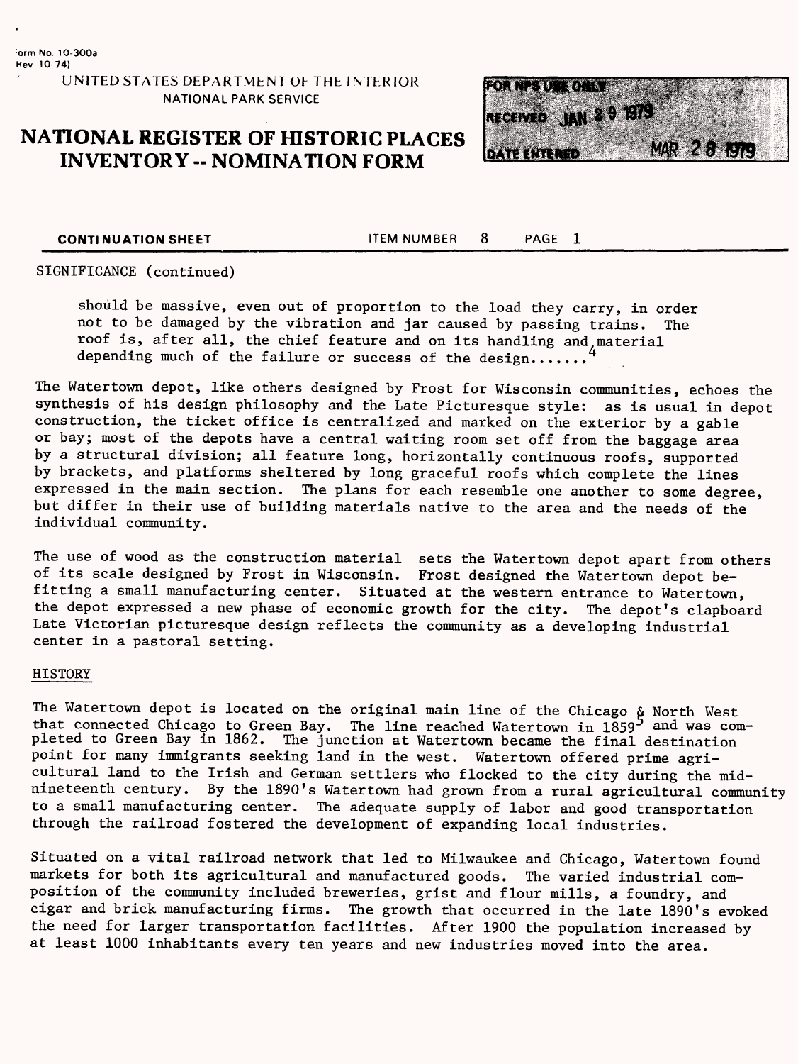**UNITED STATES DEPARTMENT OF THE INTERIOR NATIONAL PARK SERVICE**

### **NATIONAL REGISTER OF HISTORIC PLACES INVENTORY -- NOMINATION FORM**



**CONTINUATION SHEET** TEM NUMBER 8 PAGE 1

SIGNIFICANCE (continued)

should be massive, even out of proportion to the load they carry, in order not to be damaged by the vibration and jar caused by passing trains. The roof is, after all, the chief feature and on its handling and material depending much of the failure or success of the design.......

The Watertown depot, like others designed by Frost for Wisconsin communities, echoes the synthesis of his design philosophy and the Late Picturesque style: as is usual in depot construction, the ticket office is centralized and marked on the exterior by a gable or bay; most of the depots have a central waiting room set off from the baggage area by a structural division; all feature long, horizontally continuous roofs, supported by brackets, and platforms sheltered by long graceful roofs which complete the lines expressed in the main section. The plans for each resemble one another to some degree, but differ in their use of building materials native to the area and the needs of the individual community.

The use of wood as the construction material sets the Watertown depot apart from others of its scale designed by Frost in Wisconsin. Frost designed the Watertown depot befitting a small manufacturing center. Situated at the western entrance to Watertown, the depot expressed a new phase of economic growth for the city. The depot's clapboard Late Victorian picturesque design reflects the community as a developing industrial center in a pastoral setting.

#### HISTORY

The Watertown depot is located on the original main line of the Chicago & North West that connected Chicago to Green Bay. The line reached Watertown in  $1859^5$  and was completed to Green Bay in 1862. The junction at Watertown became the final destination point for many immigrants seeking land in the west. Watertown offered prime agricultural land to the Irish and German settlers who flocked to the city during the midnineteenth century. By the 1890's Watertown had grown from a rural agricultural community to a small manufacturing center. The adequate supply of labor and good transportation through the railroad fostered the development of expanding local industries.

Situated on a vital railroad network that led to Milwaukee and Chicago, Watertown found markets for both its agricultural and manufactured goods. The varied industrial composition of the community included breweries, grist and flour mills, a foundry, and cigar and brick manufacturing firms. The growth that occurred in the late 1890's evoked the need for larger transportation facilities. After 1900 the population increased by at least 1000 inhabitants every ten years and new industries moved into the area.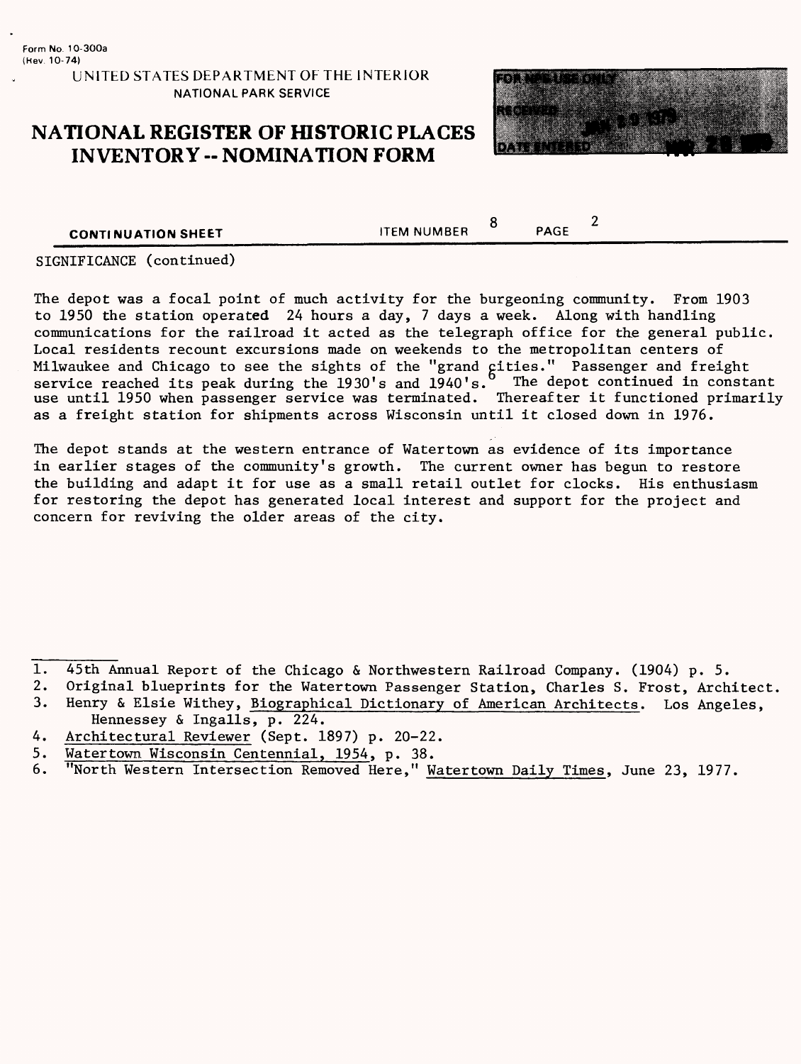#### **UNITED STATES DEPARTMENT OF THE INTERIOR NATIONAL PARK SERVICE**

### **NATIONAL REGISTER OF HISTORIC PLACES INVENTORY - NOMINATION FORM**



**CONTINUATION SHEET** THEM NUMBER

 $8$  PAGE  $2$ 

SIGNIFICANCE (continued)

The depot was a focal point of much activity for the burgeoning community. From 1903 to 1950 the station operated 24 hours a day, 7 days a week. Along with handling communications for the railroad it acted as the telegraph office for the general public. Local residents recount excursions made on weekends to the metropolitan centers of Milwaukee and Chicago to see the sights of the "grand cities." Passenger and freight service reached its peak during the 1930's and 1940's. The depot continued in constant use until 1950 when passenger service was terminated. Thereafter it functioned primarily as a freight station for shipments across Wisconsin until it closed down in 1976.

The depot stands at the western entrance of Watertown as evidence of its importance in earlier stages of the community's growth. The current owner has begun to restore the building and adapt it for use as a small retail outlet for clocks. His enthusiasm for restoring the depot has generated local interest and support for the project and concern for reviving the older areas of the city.

- 1. 45th Annual Report of the Chicago & Northwestern Railroad Company. (1904) p. 5.<br>2. Original blueprints for the Watertown Passenger Station, Charles S. Frost, Arch
- Original blueprints for the Watertown Passenger Station, Charles S. Frost, Architect.
- 3. Henry & Elsie Withey, Biographical Dictionary of American Architects. Los Angeles, Hennessey & Ingalls, p. 224.
- 4. Architectural Reviewer (Sept. 1897) p. 20-22.
- 5. Watertown. Wisconsin Centennial, 1954, p. 38.
- 6. "North Western Intersection Removed Here," Watertown Daily Times, June 23, 1977.